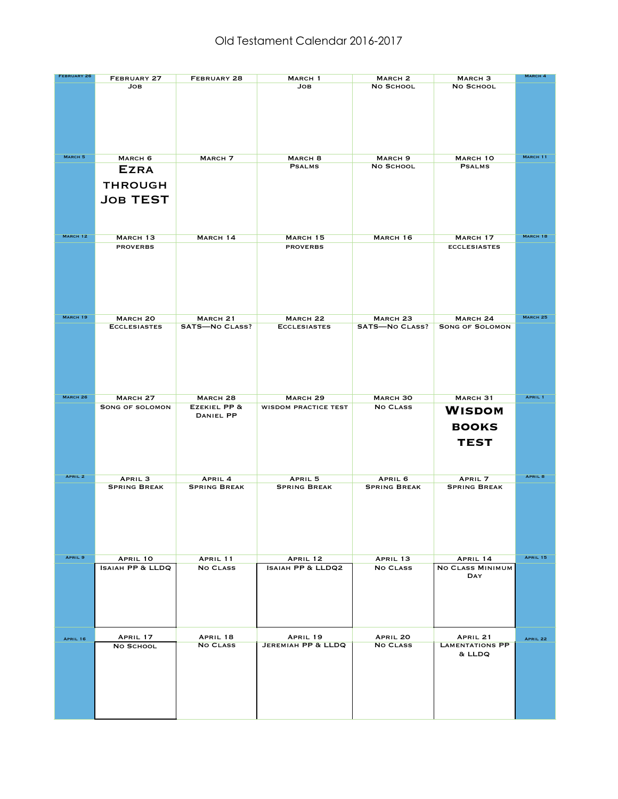|                    | FEBRUARY 27                               | FEBRUARY 28                      | MARCH <sub>1</sub>                  | MARCH <sub>2</sub>              | MARCH <sub>3</sub>                        | <b>MARCH 4</b>      |
|--------------------|-------------------------------------------|----------------------------------|-------------------------------------|---------------------------------|-------------------------------------------|---------------------|
|                    | JОB                                       |                                  | JОB                                 | NO SCHOOL                       | NO SCHOOL                                 |                     |
|                    |                                           |                                  |                                     |                                 |                                           |                     |
|                    |                                           |                                  |                                     |                                 |                                           |                     |
|                    |                                           |                                  |                                     |                                 |                                           |                     |
|                    |                                           |                                  |                                     |                                 |                                           |                     |
|                    |                                           |                                  |                                     |                                 |                                           |                     |
|                    |                                           |                                  |                                     |                                 |                                           |                     |
|                    |                                           |                                  |                                     |                                 |                                           |                     |
| MARCH <sub>5</sub> |                                           |                                  |                                     |                                 |                                           | MARCH 11            |
|                    | MARCH <sub>6</sub>                        | MARCH <sub>7</sub>               | MARCH <sub>8</sub><br><b>PSALMS</b> | MARCH <sub>9</sub><br>NO SCHOOL | MARCH 10<br><b>PSALMS</b>                 |                     |
|                    | <b>EZRA</b>                               |                                  |                                     |                                 |                                           |                     |
|                    | <b>THROUGH</b>                            |                                  |                                     |                                 |                                           |                     |
|                    |                                           |                                  |                                     |                                 |                                           |                     |
|                    | <b>JOB TEST</b>                           |                                  |                                     |                                 |                                           |                     |
|                    |                                           |                                  |                                     |                                 |                                           |                     |
|                    |                                           |                                  |                                     |                                 |                                           |                     |
|                    |                                           |                                  |                                     |                                 |                                           |                     |
| MARCH 12           | MARCH 13                                  | MARCH 14                         | MARCH 15                            | MARCH 16                        | MARCH 17                                  | MARCH 18            |
|                    | <b>PROVERBS</b>                           |                                  | <b>PROVERBS</b>                     |                                 | <b>ECCLESIASTES</b>                       |                     |
|                    |                                           |                                  |                                     |                                 |                                           |                     |
|                    |                                           |                                  |                                     |                                 |                                           |                     |
|                    |                                           |                                  |                                     |                                 |                                           |                     |
|                    |                                           |                                  |                                     |                                 |                                           |                     |
|                    |                                           |                                  |                                     |                                 |                                           |                     |
|                    |                                           |                                  |                                     |                                 |                                           |                     |
|                    |                                           |                                  |                                     |                                 |                                           |                     |
| MARCH 19           | MARCH <sub>20</sub>                       | MARCH <sub>21</sub>              | MARCH <sub>22</sub>                 | MARCH <sub>23</sub>             | MARCH <sub>24</sub>                       | MARCH <sub>25</sub> |
|                    | <b>ECCLESIASTES</b>                       | <b>SATS-NO CLASS?</b>            | <b>ECCLESIASTES</b>                 | <b>SATS-NO CLASS?</b>           | <b>SONG OF SOLOMON</b>                    |                     |
|                    |                                           |                                  |                                     |                                 |                                           |                     |
|                    |                                           |                                  |                                     |                                 |                                           |                     |
|                    |                                           |                                  |                                     |                                 |                                           |                     |
|                    |                                           |                                  |                                     |                                 |                                           |                     |
|                    |                                           |                                  |                                     |                                 |                                           |                     |
|                    |                                           |                                  |                                     |                                 |                                           |                     |
|                    |                                           |                                  |                                     |                                 |                                           |                     |
| MARCH 26           | MARCH <sub>27</sub>                       | MARCH <sub>28</sub>              | MARCH <sub>29</sub>                 | MARCH 30                        | MARCH 31                                  | APRIL 1             |
|                    | <b>SONG OF SOLOMON</b>                    | EZEKIEL PP &<br><b>DANIEL PP</b> | <b>WISDOM PRACTICE TEST</b>         | <b>NO CLASS</b>                 | <b>WISDOM</b>                             |                     |
|                    |                                           |                                  |                                     |                                 |                                           |                     |
|                    |                                           |                                  |                                     |                                 | <b>BOOKS</b>                              |                     |
|                    |                                           |                                  |                                     |                                 |                                           |                     |
|                    |                                           |                                  |                                     |                                 |                                           |                     |
|                    |                                           |                                  |                                     |                                 | <b>TEST</b>                               |                     |
|                    |                                           |                                  |                                     |                                 |                                           |                     |
|                    |                                           |                                  |                                     |                                 |                                           |                     |
| APRIL 2            |                                           |                                  |                                     |                                 |                                           | APRIL 8             |
|                    | APRIL <sub>3</sub><br><b>SPRING BREAK</b> | APRIL 4<br><b>SPRING BREAK</b>   | APRIL 5<br><b>SPRING BREAK</b>      | APRIL 6<br><b>SPRING BREAK</b>  | APRIL <sub>7</sub><br><b>SPRING BREAK</b> |                     |
|                    |                                           |                                  |                                     |                                 |                                           |                     |
|                    |                                           |                                  |                                     |                                 |                                           |                     |
|                    |                                           |                                  |                                     |                                 |                                           |                     |
|                    |                                           |                                  |                                     |                                 |                                           |                     |
|                    |                                           |                                  |                                     |                                 |                                           |                     |
|                    |                                           |                                  |                                     |                                 |                                           |                     |
|                    |                                           |                                  |                                     |                                 |                                           |                     |
| APRIL 9            | APRIL 10                                  | APRIL 11                         | APRIL 12                            | APRIL 13                        | APRIL 14                                  | <b>APRIL 15</b>     |
|                    | <b>ISAIAH PP &amp; LLDQ</b>               | <b>NO CLASS</b>                  | <b>ISAIAH PP &amp; LLDQ2</b>        | <b>NO CLASS</b>                 | <b>NO CLASS MINIMUM</b>                   |                     |
|                    |                                           |                                  |                                     |                                 | DAY                                       |                     |
|                    |                                           |                                  |                                     |                                 |                                           |                     |
|                    |                                           |                                  |                                     |                                 |                                           |                     |
|                    |                                           |                                  |                                     |                                 |                                           |                     |
|                    |                                           |                                  |                                     |                                 |                                           |                     |
|                    |                                           |                                  |                                     |                                 |                                           |                     |
|                    |                                           |                                  |                                     |                                 |                                           |                     |
| APRIL 16           | APRIL 17                                  | APRIL 18                         | APRIL 19                            | APRIL 20                        | APRIL 21                                  | <b>APRIL 22</b>     |
|                    | NO SCHOOL                                 | <b>NO CLASS</b>                  | <b>JEREMIAH PP &amp; LLDQ</b>       | <b>NO CLASS</b>                 | <b>LAMENTATIONS PP</b>                    |                     |
|                    |                                           |                                  |                                     |                                 | & LLDQ                                    |                     |
|                    |                                           |                                  |                                     |                                 |                                           |                     |
|                    |                                           |                                  |                                     |                                 |                                           |                     |
|                    |                                           |                                  |                                     |                                 |                                           |                     |
|                    |                                           |                                  |                                     |                                 |                                           |                     |
|                    |                                           |                                  |                                     |                                 |                                           |                     |